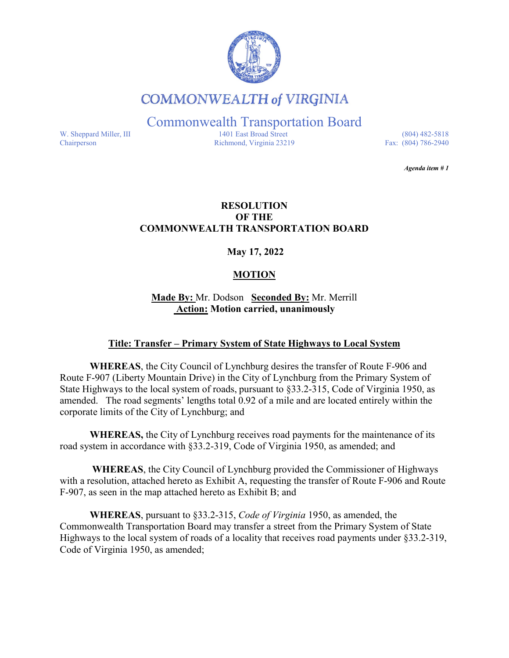

**COMMONWEALTH of VIRGINIA** 

Commonwealth Transportation Board

W. Sheppard Miller, III 1401 East Broad Street (804) 482-5818<br>Chairperson Richmond, Virginia 23219 Fax: (804) 786-2940 Richmond, Virginia 23219

*Agenda item # 1* 

### **RESOLUTION OF THE COMMONWEALTH TRANSPORTATION BOARD**

**May 17, 2022**

## **MOTION**

**Made By:** Mr. Dodson **Seconded By:** Mr. Merrill **Action: Motion carried, unanimously**

## **Title: Transfer – Primary System of State Highways to Local System**

**WHEREAS**, the City Council of Lynchburg desires the transfer of Route F-906 and Route F-907 (Liberty Mountain Drive) in the City of Lynchburg from the Primary System of State Highways to the local system of roads, pursuant to §33.2-315, Code of Virginia 1950, as amended. The road segments' lengths total 0.92 of a mile and are located entirely within the corporate limits of the City of Lynchburg; and

**WHEREAS,** the City of Lynchburg receives road payments for the maintenance of its road system in accordance with §33.2-319, Code of Virginia 1950, as amended; and

**WHEREAS**, the City Council of Lynchburg provided the Commissioner of Highways with a resolution, attached hereto as Exhibit A, requesting the transfer of Route F-906 and Route F-907, as seen in the map attached hereto as Exhibit B; and

**WHEREAS**, pursuant to §33.2-315, *Code of Virginia* 1950, as amended, the Commonwealth Transportation Board may transfer a street from the Primary System of State Highways to the local system of roads of a locality that receives road payments under §33.2-319, Code of Virginia 1950, as amended;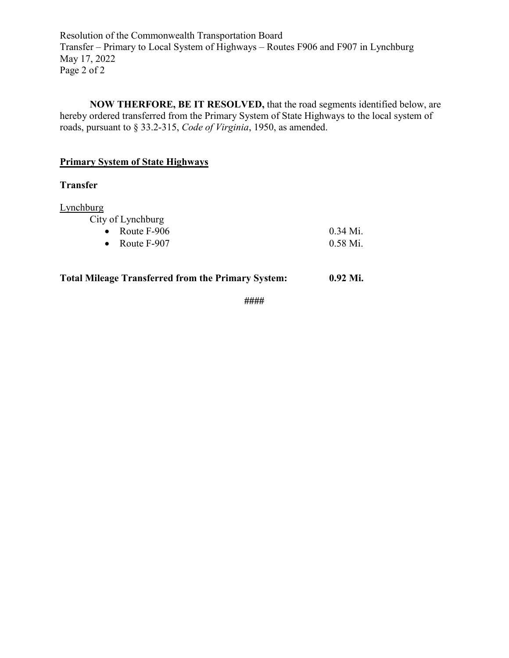Resolution of the Commonwealth Transportation Board Transfer – Primary to Local System of Highways – Routes F906 and F907 in Lynchburg May 17, 2022 Page 2 of 2

**NOW THERFORE, BE IT RESOLVED,** that the road segments identified below, are hereby ordered transferred from the Primary System of State Highways to the local system of roads, pursuant to § 33.2-315, *Code of Virginia*, 1950, as amended.

# **Primary System of State Highways**

#### **Transfer**

**Lynchburg** 

City of Lynchburg

| • Route $F-906$ | $0.34$ Mi. |
|-----------------|------------|
| • Route $F-907$ | $0.58$ Mi. |

## **Total Mileage Transferred from the Primary System: 0.92 Mi.**

**####**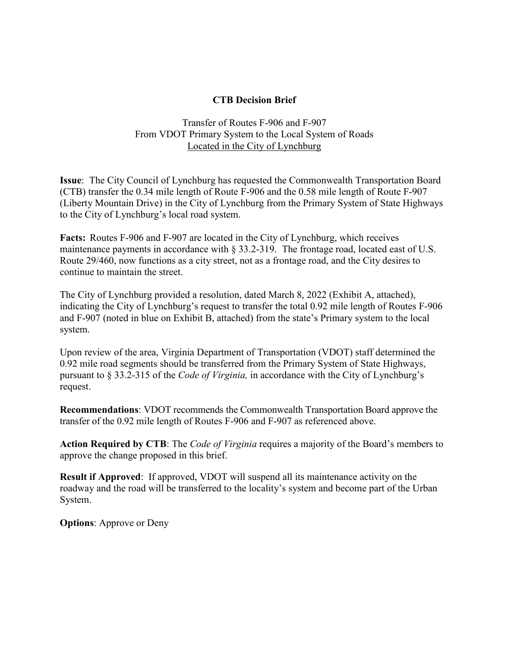## **CTB Decision Brief**

Transfer of Routes F-906 and F-907 From VDOT Primary System to the Local System of Roads Located in the City of Lynchburg

**Issue**: The City Council of Lynchburg has requested the Commonwealth Transportation Board (CTB) transfer the 0.34 mile length of Route F-906 and the 0.58 mile length of Route F-907 (Liberty Mountain Drive) in the City of Lynchburg from the Primary System of State Highways to the City of Lynchburg's local road system.

**Facts:** Routes F-906 and F-907 are located in the City of Lynchburg, which receives maintenance payments in accordance with  $\S 33.2$ -319. The frontage road, located east of U.S. Route 29/460, now functions as a city street, not as a frontage road, and the City desires to continue to maintain the street.

The City of Lynchburg provided a resolution, dated March 8, 2022 (Exhibit A, attached), indicating the City of Lynchburg's request to transfer the total 0.92 mile length of Routes F-906 and F-907 (noted in blue on Exhibit B, attached) from the state's Primary system to the local system.

Upon review of the area, Virginia Department of Transportation (VDOT) staff determined the 0.92 mile road segments should be transferred from the Primary System of State Highways, pursuant to § 33.2-315 of the *Code of Virginia,* in accordance with the City of Lynchburg's request.

**Recommendations**: VDOT recommends the Commonwealth Transportation Board approve the transfer of the 0.92 mile length of Routes F-906 and F-907 as referenced above.

**Action Required by CTB**: The *Code of Virginia* requires a majority of the Board's members to approve the change proposed in this brief.

**Result if Approved:** If approved, VDOT will suspend all its maintenance activity on the roadway and the road will be transferred to the locality's system and become part of the Urban System.

**Options**: Approve or Deny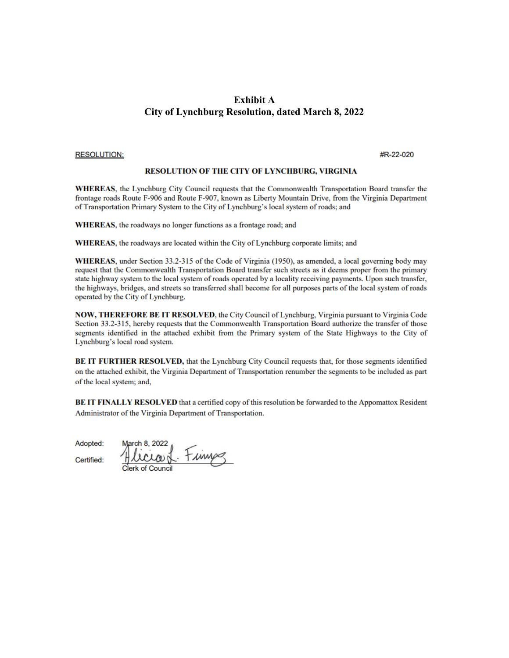#### **Exhibit A City of Lynchburg Resolution, dated March 8, 2022**

#### **RESOLUTION:**

#R-22-020

#### **RESOLUTION OF THE CITY OF LYNCHBURG, VIRGINIA**

**WHEREAS**, the Lynchburg City Council requests that the Commonwealth Transportation Board transfer the frontage roads Route F-906 and Route F-907, known as Liberty Mountain Drive, from the Virginia Department of Transportation Primary System to the City of Lynchburg's local system of roads; and

WHEREAS, the roadways no longer functions as a frontage road; and

WHEREAS, the roadways are located within the City of Lynchburg corporate limits; and

WHEREAS, under Section 33.2-315 of the Code of Virginia (1950), as amended, a local governing body may request that the Commonwealth Transportation Board transfer such streets as it deems proper from the primary state highway system to the local system of roads operated by a locality receiving payments. Upon such transfer, the highways, bridges, and streets so transferred shall become for all purposes parts of the local system of roads operated by the City of Lynchburg.

NOW, THEREFORE BE IT RESOLVED, the City Council of Lynchburg, Virginia pursuant to Virginia Code Section 33.2-315, hereby requests that the Commonwealth Transportation Board authorize the transfer of those segments identified in the attached exhibit from the Primary system of the State Highways to the City of Lynchburg's local road system.

BE IT FURTHER RESOLVED, that the Lynchburg City Council requests that, for those segments identified on the attached exhibit, the Virginia Department of Transportation renumber the segments to be included as part of the local system; and,

BE IT FINALLY RESOLVED that a certified copy of this resolution be forwarded to the Appomattox Resident Administrator of the Virginia Department of Transportation.

Adopted:

March 8, 2022 licraed Finns

Certified: